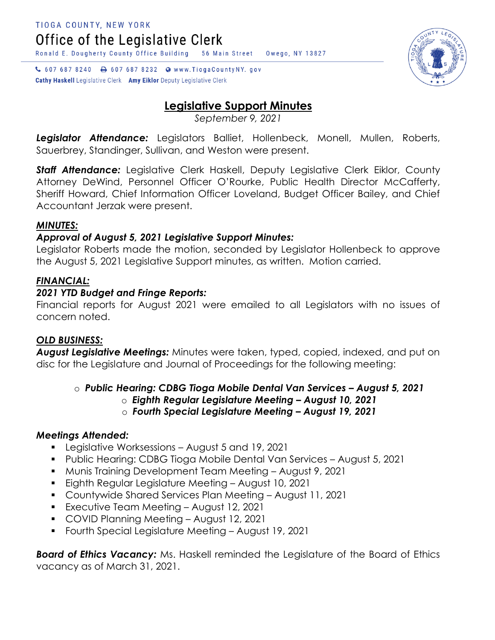↓ 607 687 8240 → 607 687 8232 ● www.TiogaCountyNY.gov

**Cathy Haskell** Legislative Clerk Amy Eiklor Deputy Legislative Clerk

# **Legislative Support Minutes**

*September 9, 2021*

*Legislator Attendance:* Legislators Balliet, Hollenbeck, Monell, Mullen, Roberts, Sauerbrey, Standinger, Sullivan, and Weston were present.

*Staff Attendance:* Legislative Clerk Haskell, Deputy Legislative Clerk Eiklor, County Attorney DeWind, Personnel Officer O'Rourke, Public Health Director McCafferty, Sheriff Howard, Chief Information Officer Loveland, Budget Officer Bailey, and Chief Accountant Jerzak were present.

### *MINUTES:*

## *Approval of August 5, 2021 Legislative Support Minutes:*

Legislator Roberts made the motion, seconded by Legislator Hollenbeck to approve the August 5, 2021 Legislative Support minutes, as written. Motion carried.

### *FINANCIAL:*

### *2021 YTD Budget and Fringe Reports:*

Financial reports for August 2021 were emailed to all Legislators with no issues of concern noted.

### *OLD BUSINESS:*

*August Legislative Meetings:* Minutes were taken, typed, copied, indexed, and put on disc for the Legislature and Journal of Proceedings for the following meeting:

o *Public Hearing: CDBG Tioga Mobile Dental Van Services – August 5, 2021*

- o *Eighth Regular Legislature Meeting – August 10, 2021*
- o *Fourth Special Legislature Meeting – August 19, 2021*

### *Meetings Attended:*

- **Legislative Worksessions August 5 and 19, 2021**
- Public Hearing: CDBG Tioga Mobile Dental Van Services August 5, 2021
- Munis Training Development Team Meeting August 9, 2021
- Eighth Regular Legislature Meeting August 10, 2021
- Countywide Shared Services Plan Meeting August 11, 2021
- **Executive Team Meeting August 12, 2021**
- COVID Planning Meeting August 12, 2021
- Fourth Special Legislature Meeting August 19, 2021

*Board of Ethics Vacancy:* Ms. Haskell reminded the Legislature of the Board of Ethics vacancy as of March 31, 2021.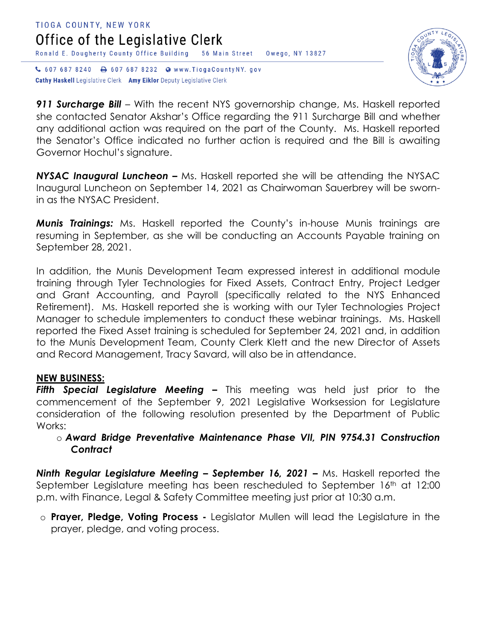#### TIOGA COUNTY, NEW YORK Office of the Legislative Clerk Ronald E. Dougherty County Office Building 56 Main Street Owego, NY 13827 ↓ 607 687 8240 → 607 687 8232 ● www.TiogaCountyNY.gov

**Cathy Haskell** Legislative Clerk Amy Eiklor Deputy Legislative Clerk



**911 Surcharge Bill** – With the recent NYS governorship change, Ms. Haskell reported she contacted Senator Akshar's Office regarding the 911 Surcharge Bill and whether any additional action was required on the part of the County. Ms. Haskell reported the Senator's Office indicated no further action is required and the Bill is awaiting Governor Hochul's signature.

**NYSAC Inaugural Luncheon –** Ms. Haskell reported she will be attending the NYSAC Inaugural Luncheon on September 14, 2021 as Chairwoman Sauerbrey will be swornin as the NYSAC President.

*Munis Trainings:* Ms. Haskell reported the County's in-house Munis trainings are resuming in September, as she will be conducting an Accounts Payable training on September 28, 2021.

In addition, the Munis Development Team expressed interest in additional module training through Tyler Technologies for Fixed Assets, Contract Entry, Project Ledger and Grant Accounting, and Payroll (specifically related to the NYS Enhanced Retirement). Ms. Haskell reported she is working with our Tyler Technologies Project Manager to schedule implementers to conduct these webinar trainings. Ms. Haskell reported the Fixed Asset training is scheduled for September 24, 2021 and, in addition to the Munis Development Team, County Clerk Klett and the new Director of Assets and Record Management, Tracy Savard, will also be in attendance.

#### **NEW BUSINESS:**

**Fifth Special Legislature Meeting -** This meeting was held just prior to the commencement of the September 9, 2021 Legislative Worksession for Legislature consideration of the following resolution presented by the Department of Public Works:

o *Award Bridge Preventative Maintenance Phase VII, PIN 9754.31 Construction Contract*

*Ninth Regular Legislature Meeting – September 16, 2021 –* Ms. Haskell reported the September Legislature meeting has been rescheduled to September 16<sup>th</sup> at 12:00 p.m. with Finance, Legal & Safety Committee meeting just prior at 10:30 a.m.

o **Prayer, Pledge, Voting Process -** Legislator Mullen will lead the Legislature in the prayer, pledge, and voting process.